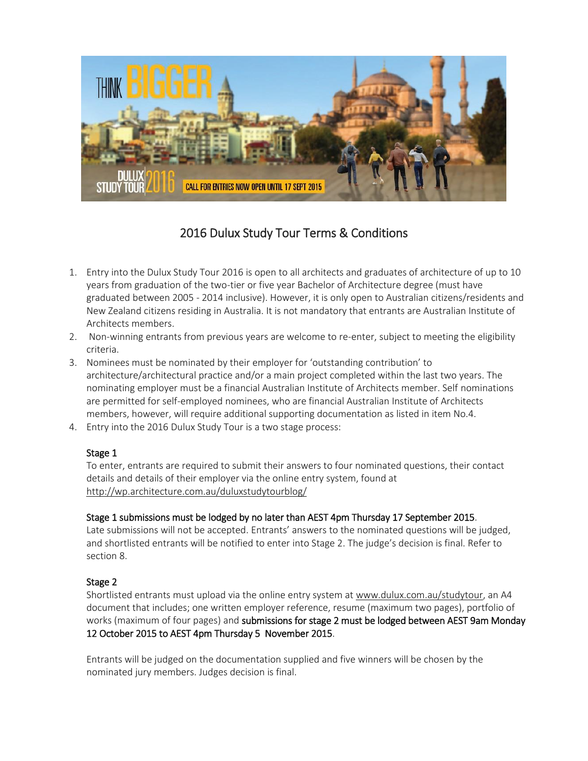

## 2016 Dulux Study Tour Terms & Conditions

- 1. Entry into the Dulux Study Tour 2016 is open to all architects and graduates of architecture of up to 10 years from graduation of the two-tier or five year Bachelor of Architecture degree (must have graduated between 2005 ‐ 2014 inclusive). However, it is only open to Australian citizens/residents and New Zealand citizens residing in Australia. It is not mandatory that entrants are Australian Institute of Architects members.
- 2. Non-winning entrants from previous years are welcome to re-enter, subject to meeting the eligibility criteria.
- 3. Nominees must be nominated by their employer for 'outstanding contribution' to architecture/architectural practice and/or a main project completed within the last two years. The nominating employer must be a financial Australian Institute of Architects member. Self nominations are permitted for self-employed nominees, who are financial Australian Institute of Architects members, however, will require additional supporting documentation as listed in item No.4.
- 4. Entry into the 2016 Dulux Study Tour is a two stage process:

## Stage 1

To enter, entrants are required to submit their answers to four nominated questions, their contact details and details of their employer via the online entry system, found at <http://wp.architecture.com.au/duluxstudytourblog/>

## Stage 1 submissions must be lodged by no later than AEST 4pm Thursday 17 September 2015.

Late submissions will not be accepted. Entrants' answers to the nominated questions will be judged, and shortlisted entrants will be notified to enter into Stage 2. The judge's decision is final. Refer to section 8.

## Stage 2

Shortlisted entrants must upload via the online entry system at [www.dulux.com.au/studytour,](http://www.dulux.com.au/studytour) an A4 document that includes; one written employer reference, resume (maximum two pages), portfolio of works (maximum of four pages) and submissions for stage 2 must be lodged between AEST 9am Monday 12 October 2015 to AEST 4pm Thursday 5 November 2015.

Entrants will be judged on the documentation supplied and five winners will be chosen by the nominated jury members. Judges decision is final.